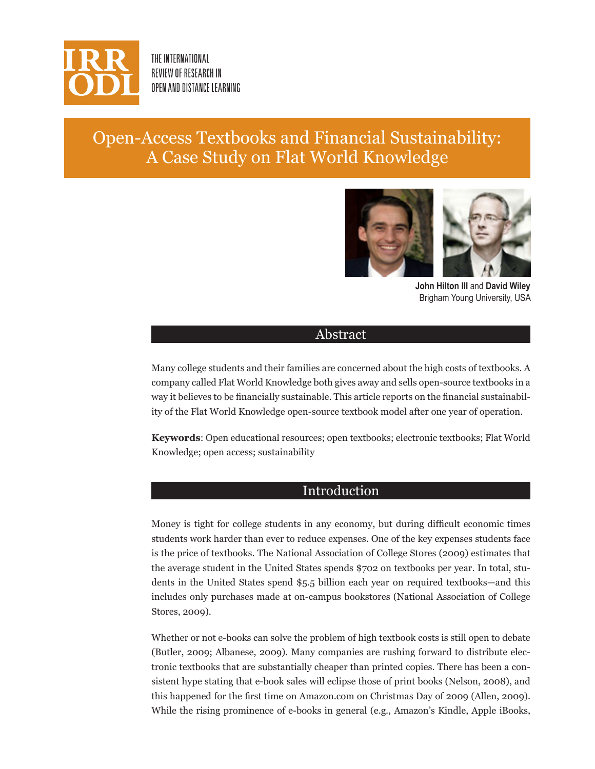

THE INTERNATIONAL REVIEW OF RESEARCH IN OPEN AND DISTANCE LEARNING

# Open-Access Textbooks and Financial Sustainability: A Case Study on Flat World Knowledge



**John Hilton III** and **David Wiley** Brigham Young University, USA

## Abstract

Many college students and their families are concerned about the high costs of textbooks. A company called Flat World Knowledge both gives away and sells open-source textbooks in a way it believes to be financially sustainable. This article reports on the financial sustainability of the Flat World Knowledge open-source textbook model after one year of operation.

**Keywords**: Open educational resources; open textbooks; electronic textbooks; Flat World Knowledge; open access; sustainability

## Introduction

Money is tight for college students in any economy, but during difficult economic times students work harder than ever to reduce expenses. One of the key expenses students face is the price of textbooks. The National Association of College Stores (2009) estimates that the average student in the United States spends \$702 on textbooks per year. In total, students in the United States spend \$5.5 billion each year on required textbooks—and this includes only purchases made at on-campus bookstores (National Association of College Stores, 2009).

Whether or not e-books can solve the problem of high textbook costs is still open to debate (Butler, 2009; Albanese, 2009). Many companies are rushing forward to distribute electronic textbooks that are substantially cheaper than printed copies. There has been a consistent hype stating that e-book sales will eclipse those of print books (Nelson, 2008), and this happened for the first time on Amazon.com on Christmas Day of 2009 (Allen, 2009). While the rising prominence of e-books in general (e.g., Amazon's Kindle, Apple iBooks,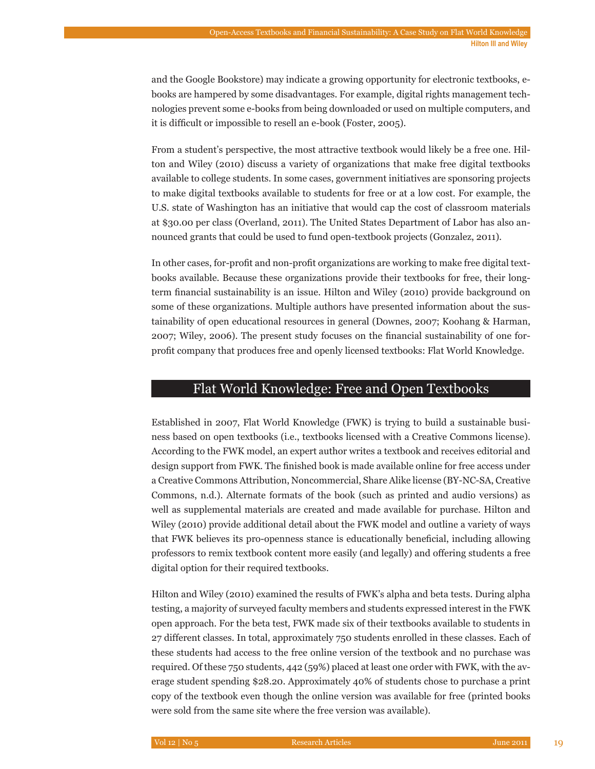and the Google Bookstore) may indicate a growing opportunity for electronic textbooks, ebooks are hampered by some disadvantages. For example, digital rights management technologies prevent some e-books from being downloaded or used on multiple computers, and it is difficult or impossible to resell an e-book (Foster, 2005).

From a student's perspective, the most attractive textbook would likely be a free one. Hilton and Wiley (2010) discuss a variety of organizations that make free digital textbooks available to college students. In some cases, government initiatives are sponsoring projects to make digital textbooks available to students for free or at a low cost. For example, the U.S. state of Washington has an initiative that would cap the cost of classroom materials at \$30.00 per class (Overland, 2011). The United States Department of Labor has also announced grants that could be used to fund open-textbook projects (Gonzalez, 2011).

In other cases, for-profit and non-profit organizations are working to make free digital textbooks available. Because these organizations provide their textbooks for free, their longterm financial sustainability is an issue. Hilton and Wiley (2010) provide background on some of these organizations. Multiple authors have presented information about the sustainability of open educational resources in general (Downes, 2007; Koohang & Harman, 2007; Wiley, 2006). The present study focuses on the financial sustainability of one forprofit company that produces free and openly licensed textbooks: Flat World Knowledge.

## Flat World Knowledge: Free and Open Textbooks

Established in 2007, Flat World Knowledge (FWK) is trying to build a sustainable business based on open textbooks (i.e., textbooks licensed with a Creative Commons license). According to the FWK model, an expert author writes a textbook and receives editorial and design support from FWK. The finished book is made available online for free access under a Creative Commons Attribution, Noncommercial, Share Alike license (BY-NC-SA, Creative Commons, n.d.). Alternate formats of the book (such as printed and audio versions) as well as supplemental materials are created and made available for purchase. Hilton and Wiley (2010) provide additional detail about the FWK model and outline a variety of ways that FWK believes its pro-openness stance is educationally beneficial, including allowing professors to remix textbook content more easily (and legally) and offering students a free digital option for their required textbooks.

Hilton and Wiley (2010) examined the results of FWK's alpha and beta tests. During alpha testing, a majority of surveyed faculty members and students expressed interest in the FWK open approach. For the beta test, FWK made six of their textbooks available to students in 27 different classes. In total, approximately 750 students enrolled in these classes. Each of these students had access to the free online version of the textbook and no purchase was required. Of these 750 students, 442 (59%) placed at least one order with FWK, with the average student spending \$28.20. Approximately 40% of students chose to purchase a print copy of the textbook even though the online version was available for free (printed books were sold from the same site where the free version was available).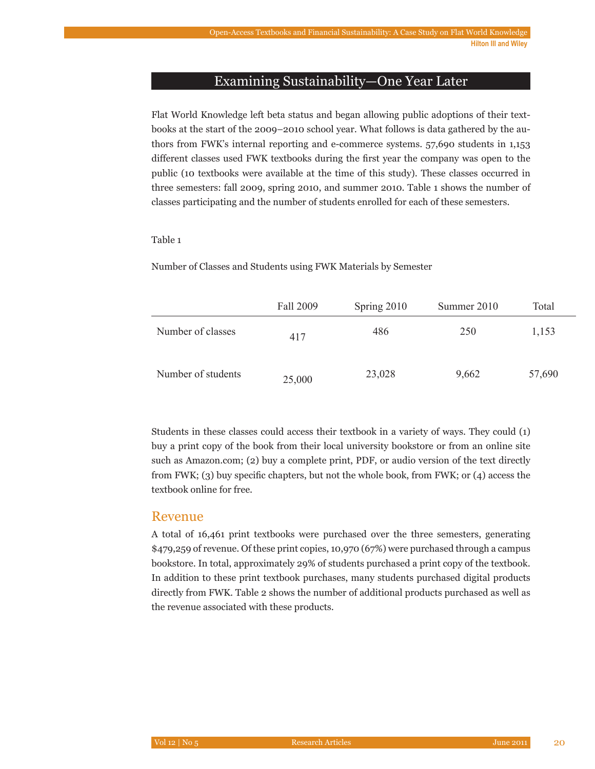## Examining Sustainability—One Year Later

Flat World Knowledge left beta status and began allowing public adoptions of their textbooks at the start of the 2009–2010 school year. What follows is data gathered by the authors from FWK's internal reporting and e-commerce systems. 57,690 students in 1,153 different classes used FWK textbooks during the first year the company was open to the public (10 textbooks were available at the time of this study). These classes occurred in three semesters: fall 2009, spring 2010, and summer 2010. Table 1 shows the number of classes participating and the number of students enrolled for each of these semesters.

#### Table 1

Number of Classes and Students using FWK Materials by Semester

|                    | Fall 2009 | Spring 2010 | Summer 2010 | Total  |
|--------------------|-----------|-------------|-------------|--------|
| Number of classes  | 417       | 486         | 250         | 1,153  |
| Number of students | 25,000    | 23,028      | 9,662       | 57,690 |

Students in these classes could access their textbook in a variety of ways. They could (1) buy a print copy of the book from their local university bookstore or from an online site such as Amazon.com; (2) buy a complete print, PDF, or audio version of the text directly from FWK; (3) buy specific chapters, but not the whole book, from FWK; or (4) access the textbook online for free.

## Revenue

A total of 16,461 print textbooks were purchased over the three semesters, generating \$479,259 of revenue. Of these print copies, 10,970 (67%) were purchased through a campus bookstore. In total, approximately 29% of students purchased a print copy of the textbook. In addition to these print textbook purchases, many students purchased digital products directly from FWK. Table 2 shows the number of additional products purchased as well as the revenue associated with these products.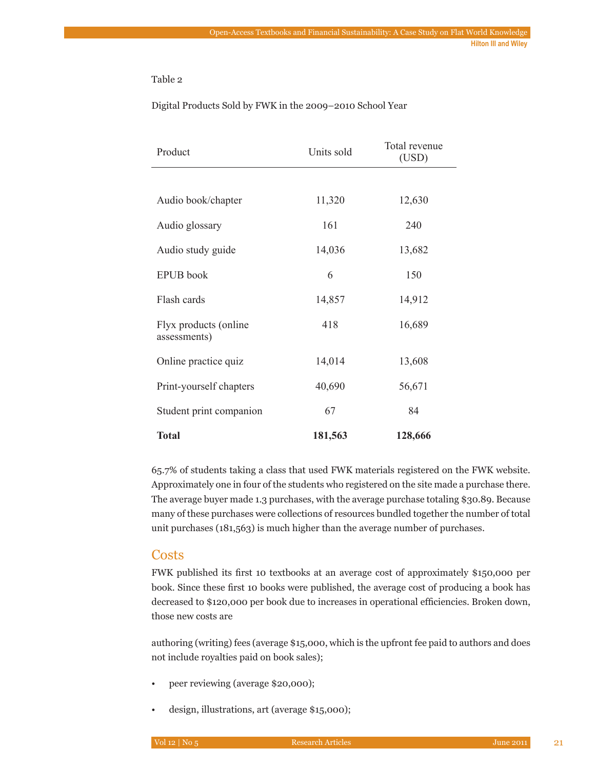#### Table 2

#### Digital Products Sold by FWK in the 2009–2010 School Year

| Product                               | Units sold | Total revenue<br>(USD) |  |
|---------------------------------------|------------|------------------------|--|
|                                       |            |                        |  |
| Audio book/chapter                    | 11,320     | 12,630                 |  |
| Audio glossary                        | 161        | 240                    |  |
| Audio study guide                     | 14,036     | 13,682                 |  |
| <b>EPUB</b> book                      | 6          | 150                    |  |
| Flash cards                           | 14,857     | 14,912                 |  |
| Flyx products (online<br>assessments) | 418        | 16,689                 |  |
| Online practice quiz                  | 14,014     | 13,608                 |  |
| Print-yourself chapters               | 40,690     | 56,671                 |  |
| Student print companion               | 67         | 84                     |  |
| <b>Total</b>                          | 181,563    | 128,666                |  |

65.7% of students taking a class that used FWK materials registered on the FWK website. Approximately one in four of the students who registered on the site made a purchase there. The average buyer made 1.3 purchases, with the average purchase totaling \$30.89. Because many of these purchases were collections of resources bundled together the number of total unit purchases (181,563) is much higher than the average number of purchases.

## **Costs**

FWK published its first 10 textbooks at an average cost of approximately \$150,000 per book. Since these first 10 books were published, the average cost of producing a book has decreased to \$120,000 per book due to increases in operational efficiencies. Broken down, those new costs are

authoring (writing) fees (average \$15,000, which is the upfront fee paid to authors and does not include royalties paid on book sales);

- peer reviewing (average \$20,000);
- design, illustrations, art (average \$15,000);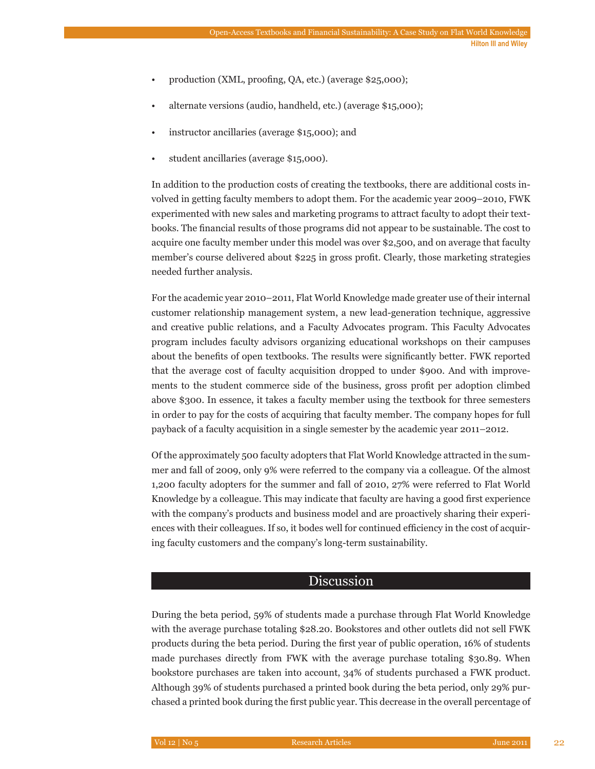- production (XML, proofing, QA, etc.) (average \$25,000);
- alternate versions (audio, handheld, etc.) (average \$15,000);
- instructor ancillaries (average \$15,000); and
- student ancillaries (average \$15,000).

In addition to the production costs of creating the textbooks, there are additional costs involved in getting faculty members to adopt them. For the academic year 2009–2010, FWK experimented with new sales and marketing programs to attract faculty to adopt their textbooks. The financial results of those programs did not appear to be sustainable. The cost to acquire one faculty member under this model was over \$2,500, and on average that faculty member's course delivered about \$225 in gross profit. Clearly, those marketing strategies needed further analysis.

For the academic year 2010–2011, Flat World Knowledge made greater use of their internal customer relationship management system, a new lead-generation technique, aggressive and creative public relations, and a Faculty Advocates program. This Faculty Advocates program includes faculty advisors organizing educational workshops on their campuses about the benefits of open textbooks. The results were significantly better. FWK reported that the average cost of faculty acquisition dropped to under \$900. And with improvements to the student commerce side of the business, gross profit per adoption climbed above \$300. In essence, it takes a faculty member using the textbook for three semesters in order to pay for the costs of acquiring that faculty member. The company hopes for full payback of a faculty acquisition in a single semester by the academic year 2011–2012.

Of the approximately 500 faculty adopters that Flat World Knowledge attracted in the summer and fall of 2009, only 9% were referred to the company via a colleague. Of the almost 1,200 faculty adopters for the summer and fall of 2010, 27% were referred to Flat World Knowledge by a colleague. This may indicate that faculty are having a good first experience with the company's products and business model and are proactively sharing their experiences with their colleagues. If so, it bodes well for continued efficiency in the cost of acquiring faculty customers and the company's long-term sustainability.

## Discussion

During the beta period, 59% of students made a purchase through Flat World Knowledge with the average purchase totaling \$28.20. Bookstores and other outlets did not sell FWK products during the beta period. During the first year of public operation, 16% of students made purchases directly from FWK with the average purchase totaling \$30.89. When bookstore purchases are taken into account, 34% of students purchased a FWK product. Although 39% of students purchased a printed book during the beta period, only 29% purchased a printed book during the first public year. This decrease in the overall percentage of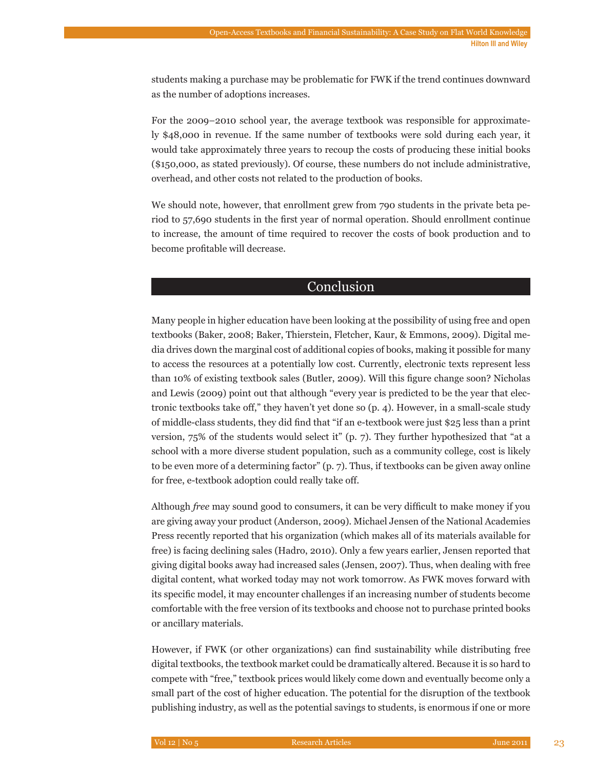students making a purchase may be problematic for FWK if the trend continues downward as the number of adoptions increases.

For the 2009–2010 school year, the average textbook was responsible for approximately \$48,000 in revenue. If the same number of textbooks were sold during each year, it would take approximately three years to recoup the costs of producing these initial books (\$150,000, as stated previously). Of course, these numbers do not include administrative, overhead, and other costs not related to the production of books.

We should note, however, that enrollment grew from 790 students in the private beta period to 57,690 students in the first year of normal operation. Should enrollment continue to increase, the amount of time required to recover the costs of book production and to become profitable will decrease.

## Conclusion

Many people in higher education have been looking at the possibility of using free and open textbooks (Baker, 2008; Baker, Thierstein, Fletcher, Kaur, & Emmons, 2009). Digital media drives down the marginal cost of additional copies of books, making it possible for many to access the resources at a potentially low cost. Currently, electronic texts represent less than 10% of existing textbook sales (Butler, 2009). Will this figure change soon? Nicholas and Lewis (2009) point out that although "every year is predicted to be the year that electronic textbooks take off," they haven't yet done so (p. 4). However, in a small-scale study of middle-class students, they did find that "if an e-textbook were just \$25 less than a print version, 75% of the students would select it" (p. 7). They further hypothesized that "at a school with a more diverse student population, such as a community college, cost is likely to be even more of a determining factor" (p. 7). Thus, if textbooks can be given away online for free, e-textbook adoption could really take off.

Although *free* may sound good to consumers, it can be very difficult to make money if you are giving away your product (Anderson, 2009). Michael Jensen of the National Academies Press recently reported that his organization (which makes all of its materials available for free) is facing declining sales (Hadro, 2010). Only a few years earlier, Jensen reported that giving digital books away had increased sales (Jensen, 2007). Thus, when dealing with free digital content, what worked today may not work tomorrow. As FWK moves forward with its specific model, it may encounter challenges if an increasing number of students become comfortable with the free version of its textbooks and choose not to purchase printed books or ancillary materials.

However, if FWK (or other organizations) can find sustainability while distributing free digital textbooks, the textbook market could be dramatically altered. Because it is so hard to compete with "free," textbook prices would likely come down and eventually become only a small part of the cost of higher education. The potential for the disruption of the textbook publishing industry, as well as the potential savings to students, is enormous if one or more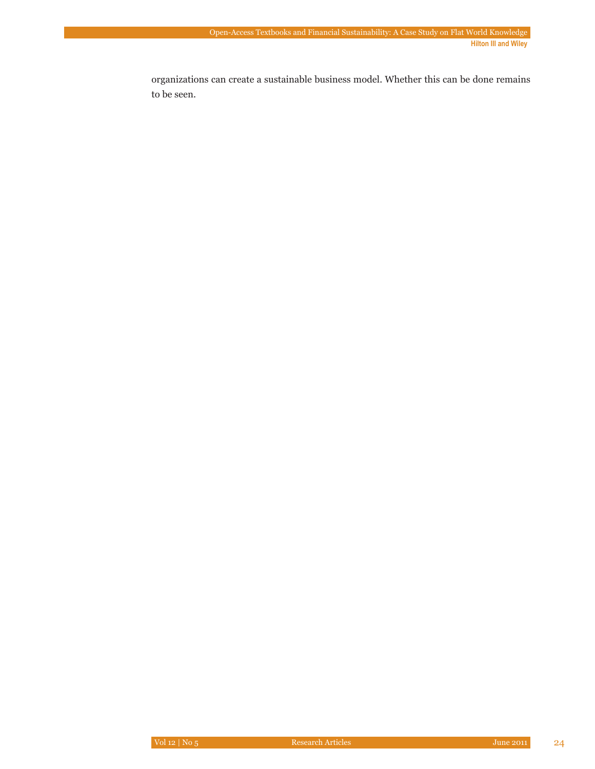organizations can create a sustainable business model. Whether this can be done remains to be seen.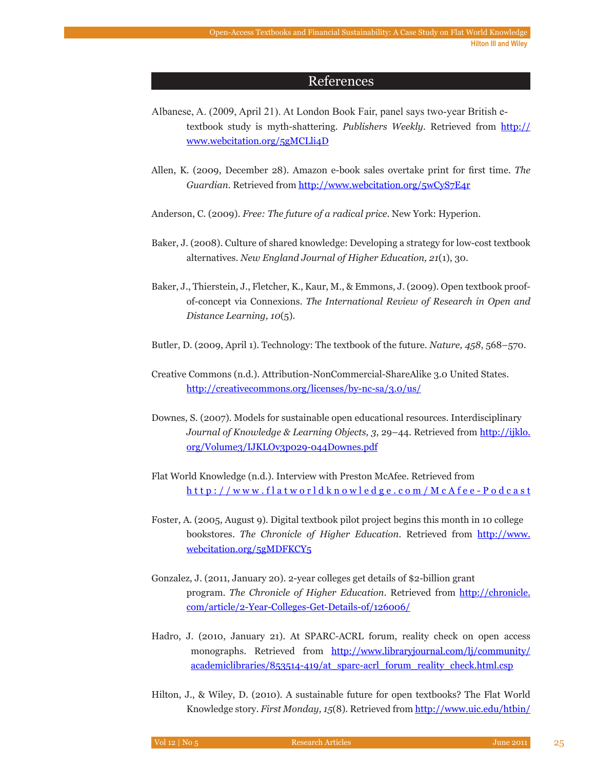## References

- Albanese, A. (2009, April 21). At London Book Fair, panel says two-year British etextbook study is myth-shattering. *Publishers Weekly.* Retrieved from http:// www.webcitation.org/5gMCLli4D
- Allen, K. (2009, December 28). Amazon e-book sales overtake print for first time. *The Guardian*. Retrieved from http://www.webcitation.org/5wCyS7E4r

Anderson, C. (2009). *Free: The future of a radical price*. New York: Hyperion.

- Baker, J. (2008). Culture of shared knowledge: Developing a strategy for low-cost textbook alternatives. *New England Journal of Higher Education, 21*(1), 30.
- Baker, J., Thierstein, J., Fletcher, K., Kaur, M., & Emmons, J. (2009). Open textbook proofof-concept via Connexions. *The International Review of Research in Open and Distance Learning, 10*(5).
- Butler, D. (2009, April 1). Technology: The textbook of the future. *Nature, 458*, 568–570.
- Creative Commons (n.d.). Attribution-NonCommercial-ShareAlike 3.0 United States. http://creativecommons.org/licenses/by-nc-sa/3.0/us/
- Downes, S. (2007). Models for sustainable open educational resources. Interdisciplinary *Journal of Knowledge & Learning Objects, 3*, 29–44. Retrieved from http://ijklo. org/Volume3/IJKLOv3p029-044Downes.pdf
- Flat World Knowledge (n.d.). Interview with Preston McAfee. Retrieved from http://www.flatworldknowledge.com/McAfee-Podcast
- Foster, A. (2005, August 9). Digital textbook pilot project begins this month in 10 college bookstores. *The Chronicle of Higher Education*. Retrieved from http://www. webcitation.org/5gMDFKCY5
- Gonzalez, J. (2011, January 20). 2-year colleges get details of \$2-billion grant program. *The Chronicle of Higher Education*. Retrieved from http://chronicle. com/article/2-Year-Colleges-Get-Details-of/126006/
- Hadro, J. (2010, January 21). At SPARC-ACRL forum, reality check on open access monographs. Retrieved from http://www.libraryjournal.com/lj/community/ academiclibraries/853514-419/at\_sparc-acrl\_forum\_reality\_check.html.csp
- Hilton, J., & Wiley, D. (2010). A sustainable future for open textbooks? The Flat World Knowledge story. *First Monday, 15*(8). Retrieved from http://www.uic.edu/htbin/